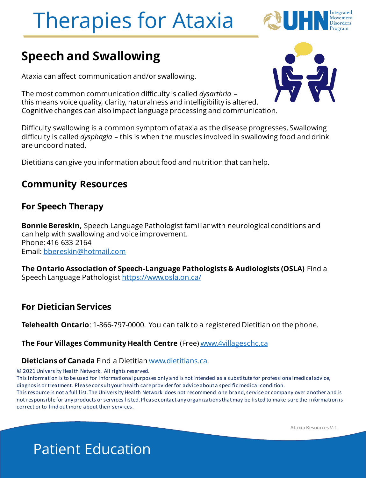

### **Speech and Swallowing**

Ataxia can affect communication and/or swallowing.

The most common communication difficulty is called *dysarthria* – this means voice quality, clarity, naturalness and intelligibility is altered. Cognitive changes can also impact language processing and communication.

Difficulty swallowing is a common symptom of ataxia as the disease progresses. Swallowing difficulty is called *dysphagia* – this is when the muscles involved in swallowing food and drink are uncoordinated.

Dietitians can give you information about food and nutrition that can help.

#### **Community Resources**

#### **For Speech Therapy**

**Bonnie Bereskin,** Speech Language Pathologist familiar with neurological conditions and can help with swallowing and voice improvement. Phone: 416 633 2164 Email: [bbereskin@hotmail.com](mailto:bbereskin@hotmail.com)

**The Ontario Association of Speech-Language Pathologists & Audiologists (OSLA)** Find a Speech Language Pathologist<https://www.osla.on.ca/>

#### **For Dietician Services**

**Telehealth Ontario**: 1-866-797-0000. You can talk to a registered Dietitian on the phone.

#### **The Four Villages Community Health Centre** (Free) [www.4villageschc.ca](http://www.4villageschc.ca/)

#### **Dieticians of Canada** Find a Dietitian [www.dietitians.ca](http://www.dietitians.ca/)

© 2021 University Health Network. All rights reserved.

This information is to be used for informational purposes only and is not intended as a substitute for professional medical advice, diagnosis or treatment. Please consult your health care provider for advice about a specific medical condition.

This resource is not a full list. The University Health Network does not recommend one brand, service or company over another and is not responsible for any products or services listed. Please contact any organizations that may be listed to make sure the information is correct or to find out more about their services.

Ataxia Resources V.1

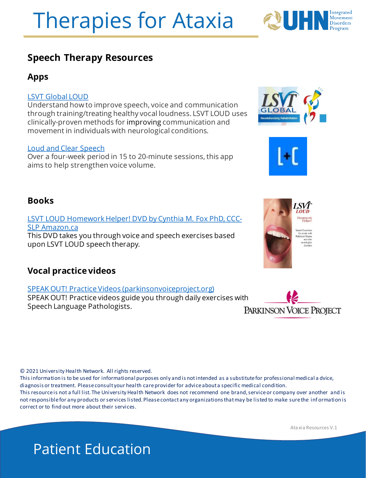

#### **Apps**

#### [LSVT Global LOUD](https://play.google.com/store/apps/details?id=com.dda.lsvt.lsvtloud2&hl=en_US&gl=US)

Understand how to improve speech, voice and communication through training/treating healthy vocal loudness. LSVT LOUD uses clinically-proven methods for improving communication and movement in individuals with neurological conditions.

#### [Loud and Clear Speech](https://play.google.com/store/apps/details?id=com.ateamo.loud_and_clear&hl=en_US&gl=US)

Over a four-week period in 15 to 20-minute sessions, this app aims to help strengthen voice volume.

#### **Books**

[LSVT LOUD Homework Helper! DVD by Cynthia M. Fox PhD, CCC-](https://www.amazon.ca/LSVT-Homework-Helper-CCC-SLP-Cynthia/dp/B01EGQRF2E)

#### **Vocal practice videos**

#### [SPEAK OUT! Practice Videos \(parkinsonvoiceproject.org\)](https://www.parkinsonvoiceproject.org/ShowContent.aspx?i=2447)

SPEAK OUT! Practice videos guide you through daily exercises with Speech Language Pathologists. **PARKINSON VOICE PROJECT** 

© 2021 University Health Network. All rights reserved.

This information is to be used for informational purposes only and is not intended as a substitute for professional medical a dvice, diagnosis or treatment. Please consult your health care provider for advice about a specific medical condition. This resource is not a full list. The University Health Network does not recommend one brand, service or company over another and is not responsible for any products or services listed. Please contact any organizations that may be listed to make sure the inf ormation is correct or to find out more about their services.

Ataxia Resources V.1

SLP Amazon.ca This DVD takes you through voice and speech exercises based upon LSVT LOUD speech therapy.





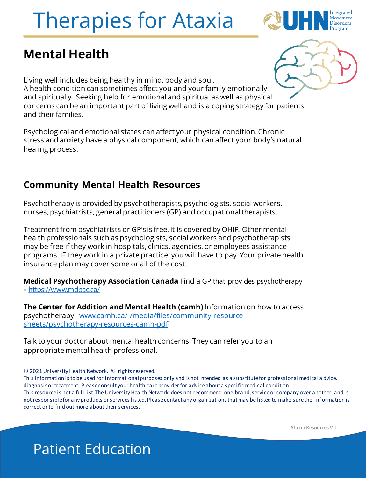

### **Mental Health**

Living well includes being healthy in mind, body and soul. A health condition can sometimes affect you and your family emotionally and spiritually. Seeking help for emotional and spiritual as well as physical concerns can be an important part of living well and is a coping strategy for patients and their families.

Psychological and emotional states can affect your physical condition. Chronic stress and anxiety have a physical component, which can affect your body's natural healing process.

#### **Community Mental Health Resources**

Psychotherapy is provided by psychotherapists, psychologists, social workers, nurses, psychiatrists, general practitioners (GP) and occupational therapists.

Treatment from psychiatrists or GP's is free, it is covered by OHIP. Other mental health professionals such as psychologists, social workers and psychotherapists may be free if they work in hospitals, clinics, agencies, or employees assistance programs. IF they work in a private practice, you will have to pay. Your private health insurance plan may cover some or all of the cost.

**Medical Psychotherapy Association Canada** Find a GP that provides psychotherapy **-** <https://www.mdpac.ca/>

**The Center for Addition and Mental Health (camh)** Information on how to access psychotherapy - [www.camh.ca/-/media/files/community-resource](http://www.camh.ca/-/media/files/community-resource-sheets/psychotherapy-resources-camh-pdf)sheets/psychotherapy-resources-camh-pdf

Talk to your doctor about mental health concerns. They can refer you to an appropriate mental health professional.

© 2021 University Health Network. All rights reserved.

This information is to be used for informational purposes only and is not intended as a substitute for professional medical a dvice, diagnosis or treatment. Please consult your health care provider for advice about a specific medical condition. This resource is not a full list. The University Health Network does not recommend one brand, service or company over another and is not responsible for any products or services listed. Please contact any organizations that may be listed to make sure the inf ormation is correct or to find out more about their services.

Ataxia Resources V.1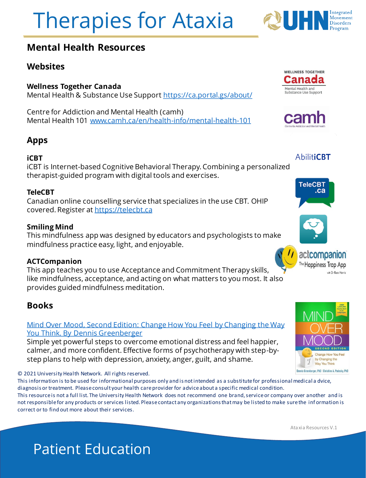

#### **Mental Health Resources**

#### **Websites**

#### **Wellness Together Canada**

Mental Health & Substance Use Support<https://ca.portal.gs/about/>

Centre for Addiction and Mental Health (camh) Mental Health 101 [www.camh.ca/en/health-info/mental-health-101](http://www.camh.ca/en/health-info/mental-health-101)

#### **Apps**

#### **iCBT**

iCBT is Internet-based Cognitive Behavioral Therapy. Combining a personalized therapist-guided program with digital tools and exercises.

#### **TeleCBT**

Canadian online counselling service that specializes in the use CBT. OHIP covered. Register at [https://telecbt.ca](https://telecbt.ca/)

#### **Smiling Mind**

This mindfulness app was designed by educators and psychologists to make mindfulness practice easy, light, and enjoyable.

#### **ACTCompanion**

This app teaches you to use Acceptance and Commitment Therapy skills, like mindfulness, acceptance, and acting on what matters to you most. It also provides guided mindfulness meditation.

#### **Books**

#### Mind Over Mood, Second Edition: [Change How You Feel by Changing the Way](https://www.amazon.ca/Mind-Over-Mood-Second-Changing/dp/1462520421)  You Think. By Dennis Greenberger

Simple yet powerful steps to overcome emotional distress and feel happier, calmer, and more confident. Effective forms of psychotherapy with step-bystep plans to help with depression, anxiety, anger, guilt, and shame.

#### © 2021 University Health Network. All rights reserved.

This information is to be used for informational purposes only and is not intended as a substitute for professional medical a dvice, diagnosis or treatment. Please consult your health care provider for advice about a specific medical condition.

This resource is not a full list. The University Health Network does not recommend one brand, service or company over another and is not responsible for any products or services listed. Please contact any organizations that may be listed to make sure the inf ormation is correct or to find out more about their services.

Ataxia Resources V.1

## Patient Education

**WELLNESS TOGETHER** ana Mental Health and Substance Use Support



**AbilitiCBT** 

**TeleCBT** .ca





with Dr Russ Harris

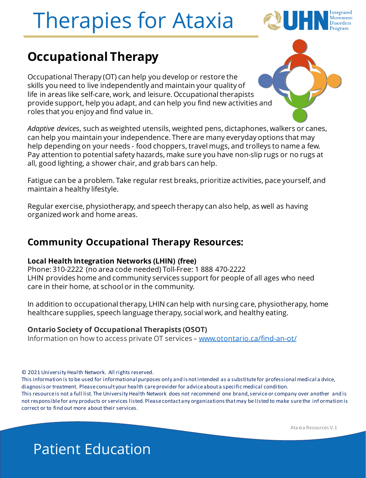

### **Occupational Therapy**

Occupational Therapy (OT) can help you develop or restore the skills you need to live independently and maintain your quality of life in areas like self-care, work, and leisure. Occupational therapists provide support, help you adapt, and can help you find new activities and roles that you enjoy and find value in.

*Adaptive device*s, such as weighted utensils, weighted pens, dictaphones, walkers or canes, can help you maintain your independence. There are many everyday options that may help depending on your needs - food choppers, travel mugs, and trolleys to name a few. Pay attention to potential safety hazards, make sure you have non-slip rugs or no rugs at all, good lighting, a shower chair, and grab bars can help.

Fatigue can be a problem. Take regular rest breaks, prioritize activities, pace yourself, and maintain a healthy lifestyle.

Regular exercise, physiotherapy, and speech therapy can also help, as well as having organized work and home areas.

#### **Community Occupational Therapy Resources:**

#### **Local Health Integration Networks (LHIN) (free)**

Phone: 310-2222 (no area code needed) Toll-Free: 1 888 470-2222 LHIN provides home and community services support for people of all ages who need care in their home, at school or in the community.

In addition to occupational therapy, LHIN can help with nursing care, physiotherapy, home healthcare supplies, speech language therapy, social work, and healthy eating.

#### **Ontario Society of Occupational Therapists (OSOT)**

Information on how to access private OT services – [www.otontario.ca/find-an-ot/](http://www.otontario.ca/find-an-ot/)

© 2021 University Health Network. All rights reserved.

This information is to be used for informational purposes only and is not intended as a substitute for professional medical a dvice, diagnosis or treatment. Please consult your health care provider for advice about a specific medical condition. This resource is not a full list. The University Health Network does not recommend one brand, service or company over another and is not responsible for any products or services listed. Please contact any organizations that may be listed to make sure the inf ormation is correct or to find out more about their services.

Ataxia Resources V.1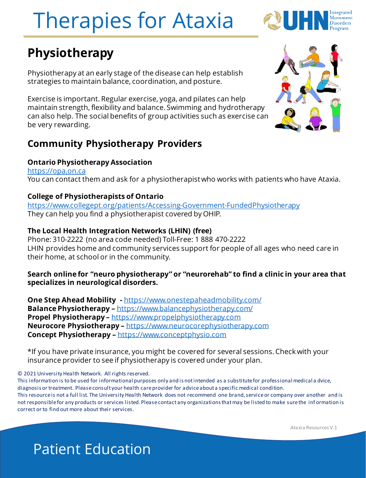

### **Physiotherapy**

Physiotherapy at an early stage of the disease can help establish strategies to maintain balance, coordination, and posture.

Exercise is important. Regular exercise, yoga, and pilates can help maintain strength, flexibility and balance. Swimming and hydrotherapy can also help. The social benefits of group activities such as exercise can be very rewarding.

#### **Community Physiotherapy Providers**

#### **Ontario Physiotherapy Association**

<https://opa.on.ca> You can contact them and ask for a physiotherapist who works with patients who have Ataxia.

#### **College of Physiotherapists of Ontario**

<https://www.collegept.org/patients/Accessing-Government-FundedPhysiotherapy> They can help you find a physiotherapist covered by OHIP.

#### **The Local Health Integration Networks (LHIN) (free)**

Phone: 310-2222 (no area code needed) Toll-Free: 1 888 470-2222 LHIN provides home and community services support for people of all ages who need care in their home, at school or in the community.

#### **Search online for "neuro physiotherapy" or "neurorehab" to find a clinic in your area that specializes in neurological disorders.**

**One Step Ahead Mobility -** <https://www.onestepaheadmobility.com/> **Balance Physiotherapy –** <https://www.balancephysiotherapy.com/> **Propel Physiotherapy –** [https://www.propelphysiotherapy.com](https://www.propelphysiotherapy.com/) **Neurocore Physiotherapy –** [https://www.neurocorephysiotherapy.com](https://www.neurocorephysiotherapy.com/) **Concept Physiotherapy –** [https://www.conceptphysio.com](https://www.conceptphysio.com/)

\*If you have private insurance, you might be covered for several sessions. Check with your insurance provider to see if physiotherapy is covered under your plan.

© 2021 University Health Network. All rights reserved.

This information is to be used for informational purposes only and is not intended as a substitute for professional medical a dvice, diagnosis or treatment. Please consult your health care provider for advice about a specific medical condition. This resource is not a full list. The University Health Network does not recommend one brand, service or company over another and is not responsible for any products or services listed. Please contact any organizations that may be listed to make sure the inf ormation is correct or to find out more about their services.



Ataxia Resources V.1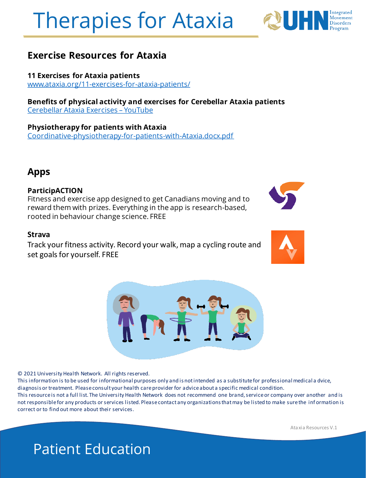#### **Exercise Resources for Ataxia**

**11 Exercises for Ataxia patients** [www.ataxia.org/11-exercises-for-ataxia-patients/](https://www.ataxia.org/11-exercises-for-ataxia-patients/)

**Benefits of physical activity and exercises for Cerebellar Ataxia patients**  [Cerebellar Ataxia Exercises](https://www.youtube.com/watch?v=BMhxywDhhrw) – YouTube

**Physiotherapy for patients with Ataxia** [Coordinative-physiotherapy-for-patients-with-Ataxia.docx.pdf](https://secureservercdn.net/166.62.112.199/y1x.318.myftpupload.com/wp-content/uploads/2019/04/Coordinative-physiotherapy-for-patients-with-Ataxia.docx.pdf)

#### **Apps**

#### **ParticipACTION**

Fitness and exercise app designed to get Canadians moving and to reward them with prizes. Everything in the app is research-based, rooted in behaviour change science. FREE

#### **Strava**

Track your fitness activity. Record your walk, map a cycling route and set goals for yourself. FREE

© 2021 University Health Network. All rights reserved.

Patient Education

This information is to be used for informational purposes only and is not intended as a substitute for professional medical a dvice, diagnosis or treatment. Please consult your health care provider for advice about a specific medical condition. This resource is not a full list. The University Health Network does not recommend one brand, service or company over another and is not responsible for any products or services listed. Please contact any organizations that may be listed to make sure the inf ormation is correct or to find out more about their services.

Ataxia Resources V.1

# Therapies for Ataxia





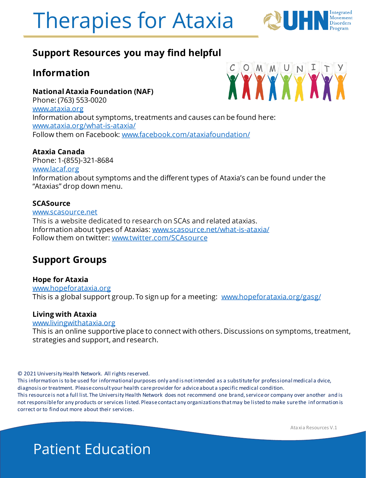

#### **Support Resources you may find helpful**

#### **Information**

**National Ataxia Foundation (NAF)** Phone: (763) 553-0020 [www.ataxia.org](http://www.ataxia.org/) Information about symptoms, treatments and causes can be found here: [www.ataxia.org/what-is-ataxia/](http://www.ataxia.org/what-is-ataxia/) Follow them on Facebook: [www.facebook.com/ataxiafoundation/](http://www.facebook.com/ataxiafoundation/)

#### **Ataxia Canada**

Phone: 1-(855)-321-8684 [www.lacaf.org](http://www.lacaf.org/) Information about symptoms and the different types of Ataxia's can be found under the "Ataxias" drop down menu.

#### **SCASource**

[www.scasource.net](http://www.scasource.net/) This is a website dedicated to research on SCAs and related ataxias. Information about types of Ataxias: [www.scasource.net/what-is-ataxia/](http://www.scasource.net/what-is-ataxia/) Follow them on twitter: [www.twitter.com/SCAsource](http://www.twitter.com/SCAsource)

#### **Support Groups**

#### **Hope for Ataxia**

[www.hopeforataxia.org](http://www.hopeforataxia.org/) This is a global support group. To sign up for a meeting: [www.hopeforataxia.org/gasg/](http://www.hopeforataxia.org/gasg/)

#### **Living with Ataxia**

[www.livingwithataxia.org](http://www.livingwithataxia.org/)

This is an online supportive place to connect with others. Discussions on symptoms, treatment, strategies and support, and research.

© 2021 University Health Network. All rights reserved.

This information is to be used for informational purposes only and is not intended as a substitute for professional medical a dvice, diagnosis or treatment. Please consult your health care provider for advice about a specific medical condition. This resource is not a full list. The University Health Network does not recommend one brand, service or company over another and is not responsible for any products or services listed. Please contact any organizations that may be listed to make sure the inf ormation is correct or to find out more about their services.

Ataxia Resources V.1